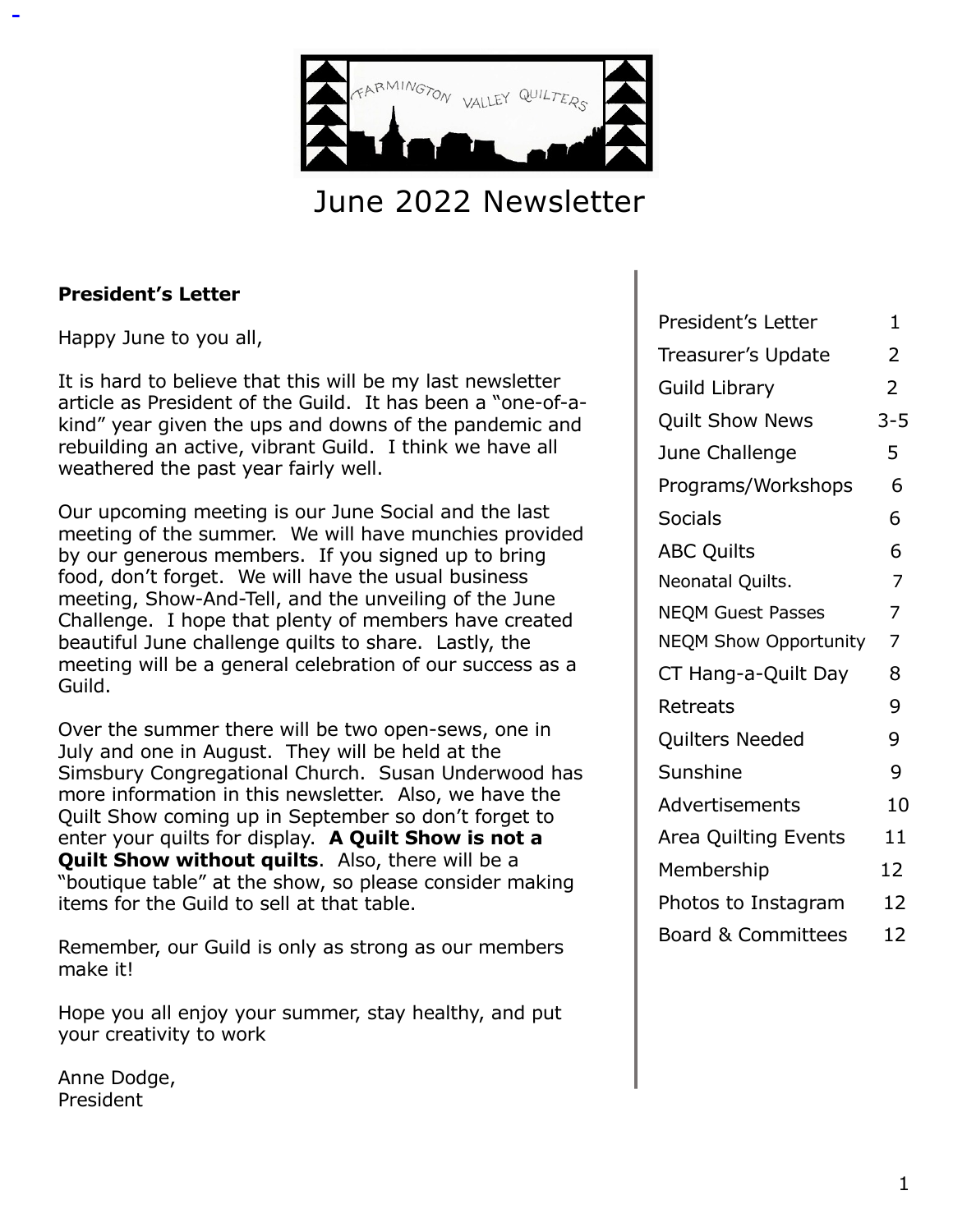

# June 2022 Newsletter

#### **President's Letter**

Happy June to you all,

It is hard to believe that this will be my last newsletter article as President of the Guild. It has been a "one-of-akind" year given the ups and downs of the pandemic and rebuilding an active, vibrant Guild. I think we have all weathered the past year fairly well.

Our upcoming meeting is our June Social and the last meeting of the summer. We will have munchies provided by our generous members. If you signed up to bring food, don't forget. We will have the usual business meeting, Show-And-Tell, and the unveiling of the June Challenge. I hope that plenty of members have created beautiful June challenge quilts to share. Lastly, the meeting will be a general celebration of our success as a Guild.

Over the summer there will be two open-sews, one in July and one in August. They will be held at the Simsbury Congregational Church. Susan Underwood has more information in this newsletter. Also, we have the Quilt Show coming up in September so don't forget to enter your quilts for display. **A Quilt Show is not a Quilt Show without quilts**. Also, there will be a "boutique table" at the show, so please consider making items for the Guild to sell at that table.

Remember, our Guild is only as strong as our members make it!

Hope you all enjoy your summer, stay healthy, and put your creativity to work

Anne Dodge, President

| President's Letter            |                |
|-------------------------------|----------------|
| Treasurer's Update            |                |
| <b>Guild Library</b>          |                |
| <b>Quilt Show News</b>        | $3 - 5$        |
| June Challenge                | 5              |
| Programs/Workshops            | 6              |
| <b>Socials</b>                | 6              |
| <b>ABC Quilts</b>             | 6              |
| Neonatal Quilts.              | $\overline{7}$ |
| <b>NEQM Guest Passes</b>      | 7              |
| <b>NEQM Show Opportunity</b>  | 7              |
| CT Hang-a-Quilt Day           | 8              |
| Retreats                      | 9              |
| Quilters Needed               | 9              |
| Sunshine                      | 9              |
| Advertisements                | 10             |
| Area Quilting Events          | 11             |
| Membership                    | 12             |
| Photos to Instagram           | 12             |
| <b>Board &amp; Committees</b> | 12             |
|                               |                |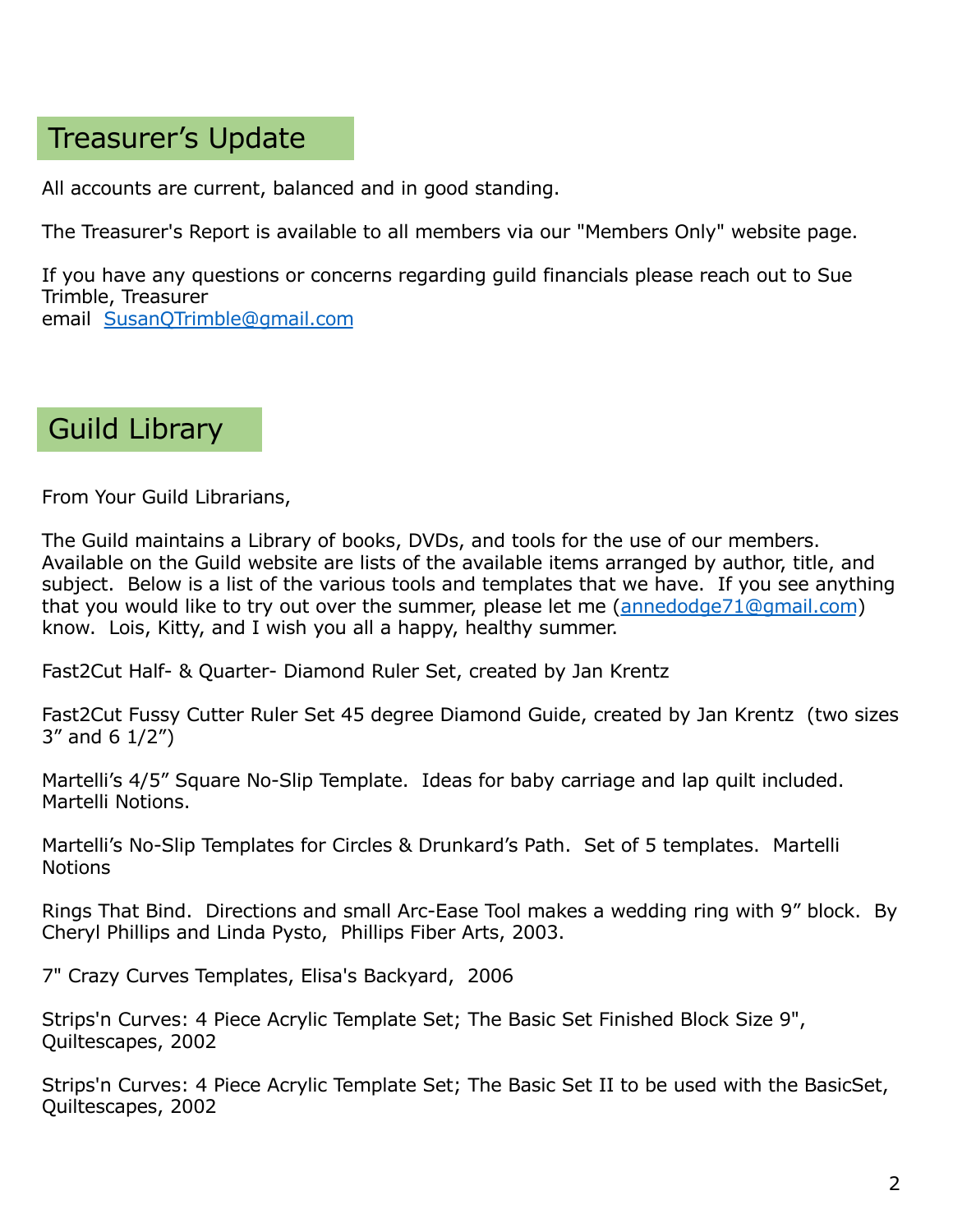### Treasurer's Update

All accounts are current, balanced and in good standing.

The Treasurer's Report is available to all members via our "Members Only" website page.

If you have any questions or concerns regarding guild financials please reach out to Sue Trimble, Treasurer email [SusanQTrimble@gmail.com](mailto:SusanQTrimble@gmail.com)

### Guild Library

From Your Guild Librarians,

The Guild maintains a Library of books, DVDs, and tools for the use of our members. Available on the Guild website are lists of the available items arranged by author, title, and subject. Below is a list of the various tools and templates that we have. If you see anything that you would like to try out over the summer, please let me [\(annedodge71@gmail.com](applewebdata://BB9D089A-015D-4BBA-B235-336F9EFAB741/annedodge71@gmail.com)) know. Lois, Kitty, and I wish you all a happy, healthy summer.

Fast2Cut Half- & Quarter- Diamond Ruler Set, created by Jan Krentz

Fast2Cut Fussy Cutter Ruler Set 45 degree Diamond Guide, created by Jan Krentz (two sizes 3" and 6 1/2")

Martelli's 4/5" Square No-Slip Template. Ideas for baby carriage and lap quilt included. Martelli Notions.

Martelli's No-Slip Templates for Circles & Drunkard's Path. Set of 5 templates. Martelli **Notions** 

Rings That Bind. Directions and small Arc-Ease Tool makes a wedding ring with 9" block. By Cheryl Phillips and Linda Pysto, Phillips Fiber Arts, 2003.

7" Crazy Curves Templates, Elisa's Backyard, 2006

Strips'n Curves: 4 Piece Acrylic Template Set; The Basic Set Finished Block Size 9", Quiltescapes, 2002

Strips'n Curves: 4 Piece Acrylic Template Set; The Basic Set II to be used with the BasicSet, Quiltescapes, 2002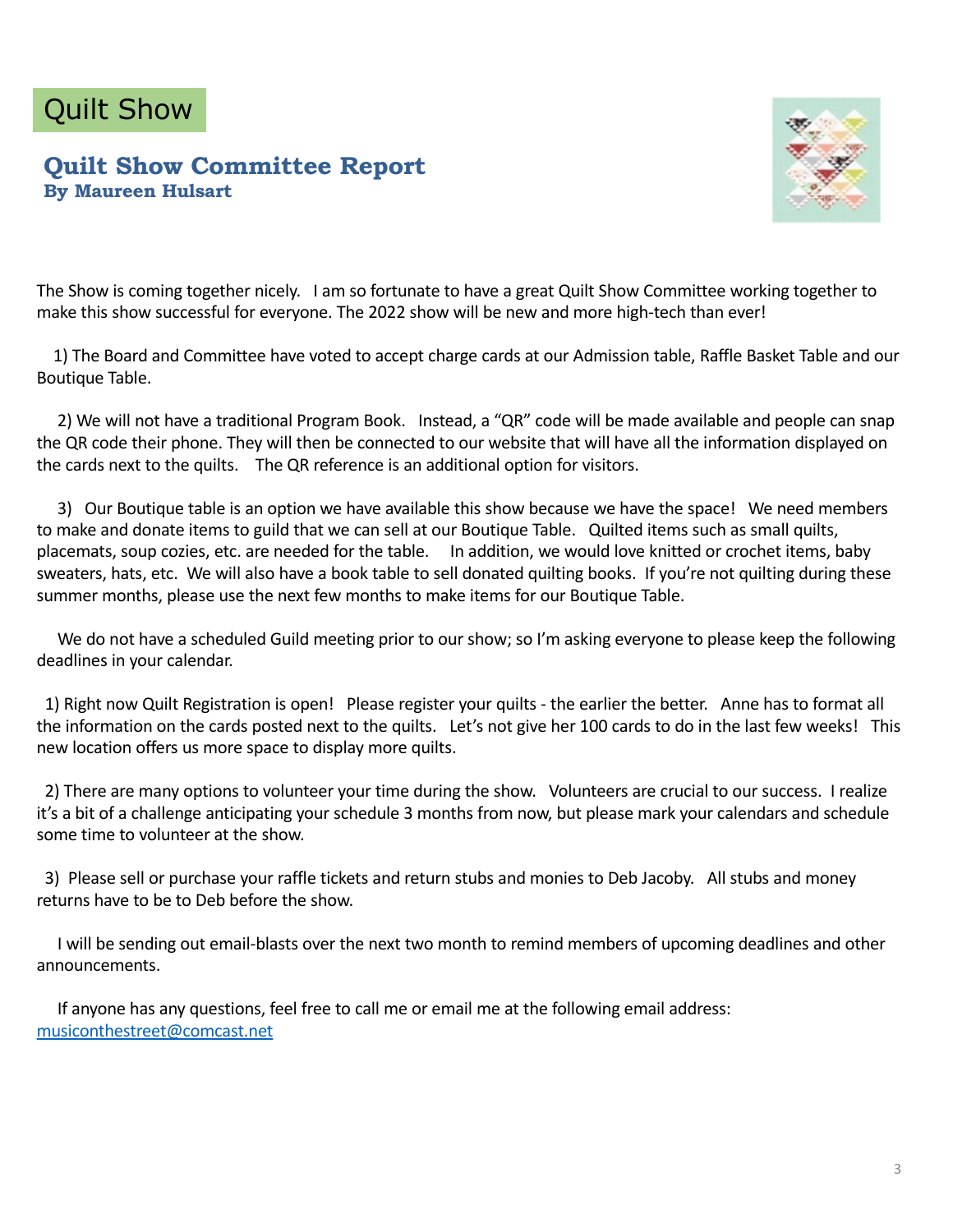# Quilt Show

#### **Quilt Show Committee Report By Maureen Hulsart**



The Show is coming together nicely. I am so fortunate to have a great Quilt Show Committee working together to make this show successful for everyone. The 2022 show will be new and more high-tech than ever!

1) The Board and Committee have voted to accept charge cards at our Admission table, Raffle Basket Table and our Boutique Table.

2) We will not have a traditional Program Book. Instead, a "QR" code will be made available and people can snap the QR code their phone. They will then be connected to our website that will have all the information displayed on the cards next to the quilts. The QR reference is an additional option for visitors.

3) Our Boutique table is an option we have available this show because we have the space! We need members to make and donate items to guild that we can sell at our Boutique Table. Quilted items such as small quilts, placemats, soup cozies, etc. are needed for the table. In addition, we would love knitted or crochet items, baby sweaters, hats, etc. We will also have a book table to sell donated quilting books. If you're not quilting during these summer months, please use the next few months to make items for our Boutique Table.

We do not have a scheduled Guild meeting prior to our show; so I'm asking everyone to please keep the following deadlines in your calendar.

1) Right now Quilt Registration is open! Please register your quilts - the earlier the better. Anne has to format all the information on the cards posted next to the quilts. Let's not give her 100 cards to do in the last few weeks! This new location offers us more space to display more quilts.

2) There are many options to volunteer your time during the show. Volunteers are crucial to our success. I realize it's a bit of a challenge anticipating your schedule 3 months from now, but please mark your calendars and schedule some time to volunteer at the show.

3) Please sell or purchase your raffle tickets and return stubs and monies to Deb Jacoby. All stubs and money returns have to be to Deb before the show.

I will be sending out email-blasts over the next two month to remind members of upcoming deadlines and other announcements.

If anyone has any questions, feel free to call me or email me at the following email address: [musiconthestreet@comcast.ne](mailto:musiconthestreet@comcast.net)t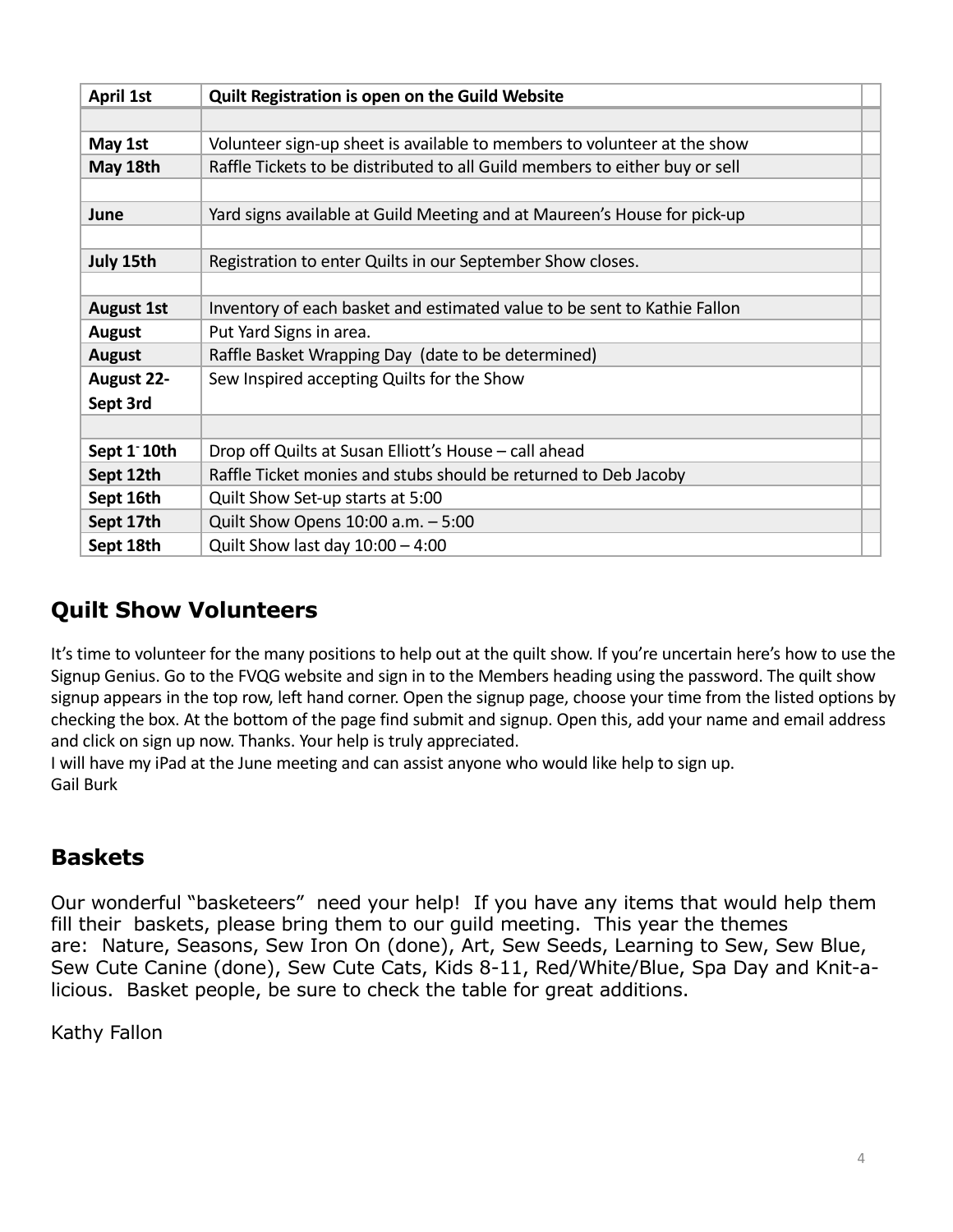| <b>April 1st</b>  | Quilt Registration is open on the Guild Website                             |
|-------------------|-----------------------------------------------------------------------------|
|                   |                                                                             |
| May 1st           | Volunteer sign-up sheet is available to members to volunteer at the show    |
| May 18th          | Raffle Tickets to be distributed to all Guild members to either buy or sell |
|                   |                                                                             |
| June              | Yard signs available at Guild Meeting and at Maureen's House for pick-up    |
|                   |                                                                             |
| July 15th         | Registration to enter Quilts in our September Show closes.                  |
|                   |                                                                             |
| <b>August 1st</b> | Inventory of each basket and estimated value to be sent to Kathie Fallon    |
| <b>August</b>     | Put Yard Signs in area.                                                     |
| <b>August</b>     | Raffle Basket Wrapping Day (date to be determined)                          |
| <b>August 22-</b> | Sew Inspired accepting Quilts for the Show                                  |
| Sept 3rd          |                                                                             |
|                   |                                                                             |
| Sept 1 10th       | Drop off Quilts at Susan Elliott's House - call ahead                       |
| Sept 12th         | Raffle Ticket monies and stubs should be returned to Deb Jacoby             |
| Sept 16th         | Quilt Show Set-up starts at 5:00                                            |
| Sept 17th         | Quilt Show Opens 10:00 a.m. - 5:00                                          |
| Sept 18th         | Quilt Show last day $10:00 - 4:00$                                          |

#### **Quilt Show Volunteers**

It's time to volunteer for the many positions to help out at the quilt show. If you're uncertain here's how to use the Signup Genius. Go to the FVQG website and sign in to the Members heading using the password. The quilt show signup appears in the top row, left hand corner. Open the signup page, choose your time from the listed options by checking the box. At the bottom of the page find submit and signup. Open this, add your name and email address and click on sign up now. Thanks. Your help is truly appreciated.

I will have my iPad at the June meeting and can assist anyone who would like help to sign up. Gail Burk

#### **Baskets**

Our wonderful "basketeers" need your help! If you have any items that would help them fill their baskets, please bring them to our guild meeting. This year the themes are: Nature, Seasons, Sew Iron On (done), Art, Sew Seeds, Learning to Sew, Sew Blue, Sew Cute Canine (done), Sew Cute Cats, Kids 8-11, Red/White/Blue, Spa Day and Knit-alicious. Basket people, be sure to check the table for great additions.

Kathy Fallon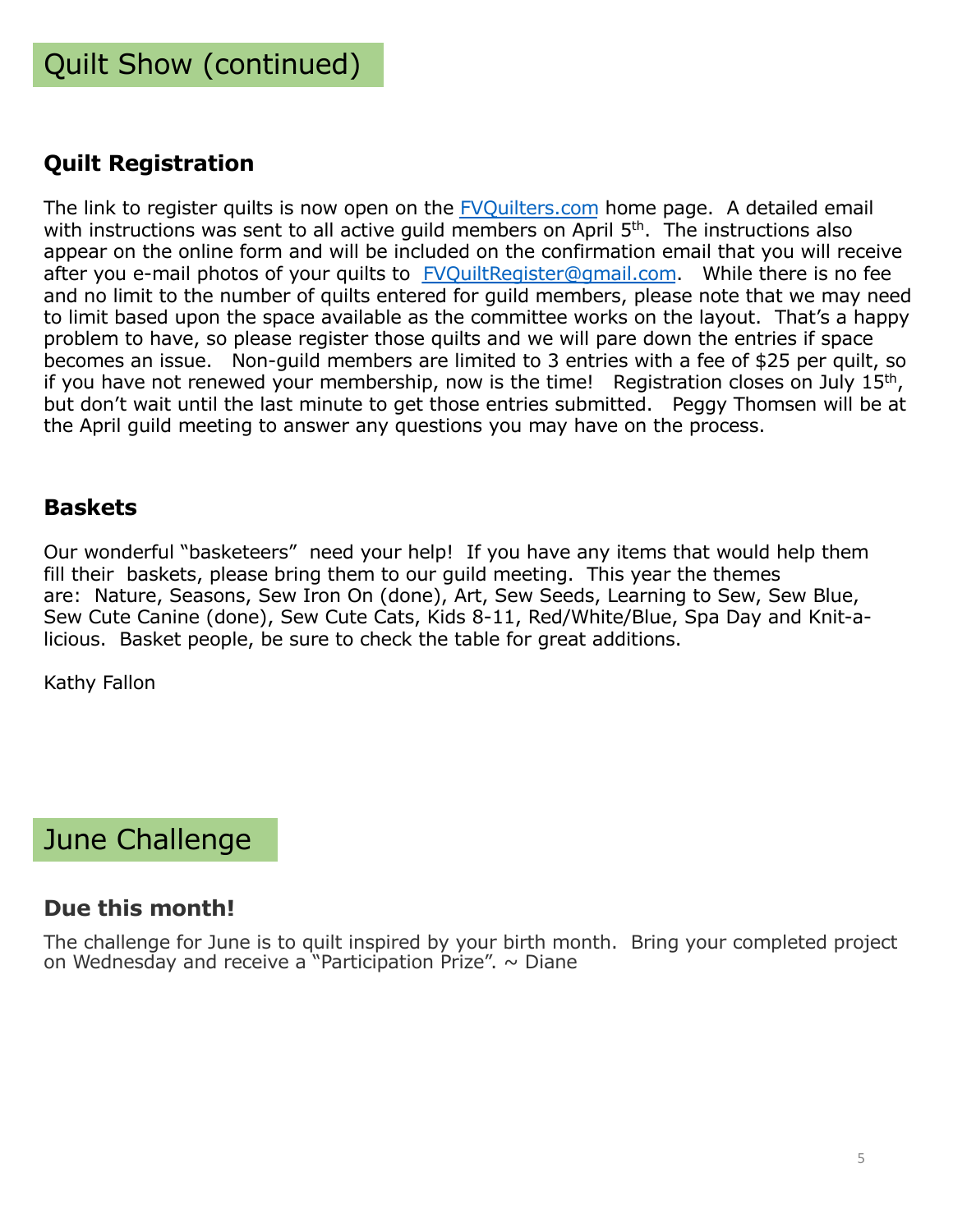#### **Quilt Registration**

The link to register quilts is now open on the [FVQuilters.com](http://fvquilters.com/) home page. A detailed email with instructions was sent to all active guild members on April 5<sup>th</sup>. The instructions also appear on the online form and will be included on the confirmation email that you will receive after you e-mail photos of your quilts t[o FVQuiltRegister@gmail.com](mailto:FVQuiltRegister@gmail.com). While there is no fee and no limit to the number of quilts entered for guild members, please note that we may need to limit based upon the space available as the committee works on the layout. That's a happy problem to have, so please register those quilts and we will pare down the entries if space becomes an issue. Non-guild members are limited to 3 entries with a fee of \$25 per quilt, so if you have not renewed your membership, now is the time! Registration closes on July  $15<sup>th</sup>$ , but don't wait until the last minute to get those entries submitted. Peggy Thomsen will be at the April guild meeting to answer any questions you may have on the process.

#### **Baskets**

Our wonderful "basketeers" need your help! If you have any items that would help them fill their baskets, please bring them to our guild meeting. This year the themes are: Nature, Seasons, Sew Iron On (done), Art, Sew Seeds, Learning to Sew, Sew Blue, Sew Cute Canine (done), Sew Cute Cats, Kids 8-11, Red/White/Blue, Spa Day and Knit-alicious. Basket people, be sure to check the table for great additions.

Kathy Fallon

### June Challenge

#### **Due this month!**

The challenge for June is to quilt inspired by your birth month. Bring your completed project on Wednesday and receive a "Participation Prize".  $\sim$  Diane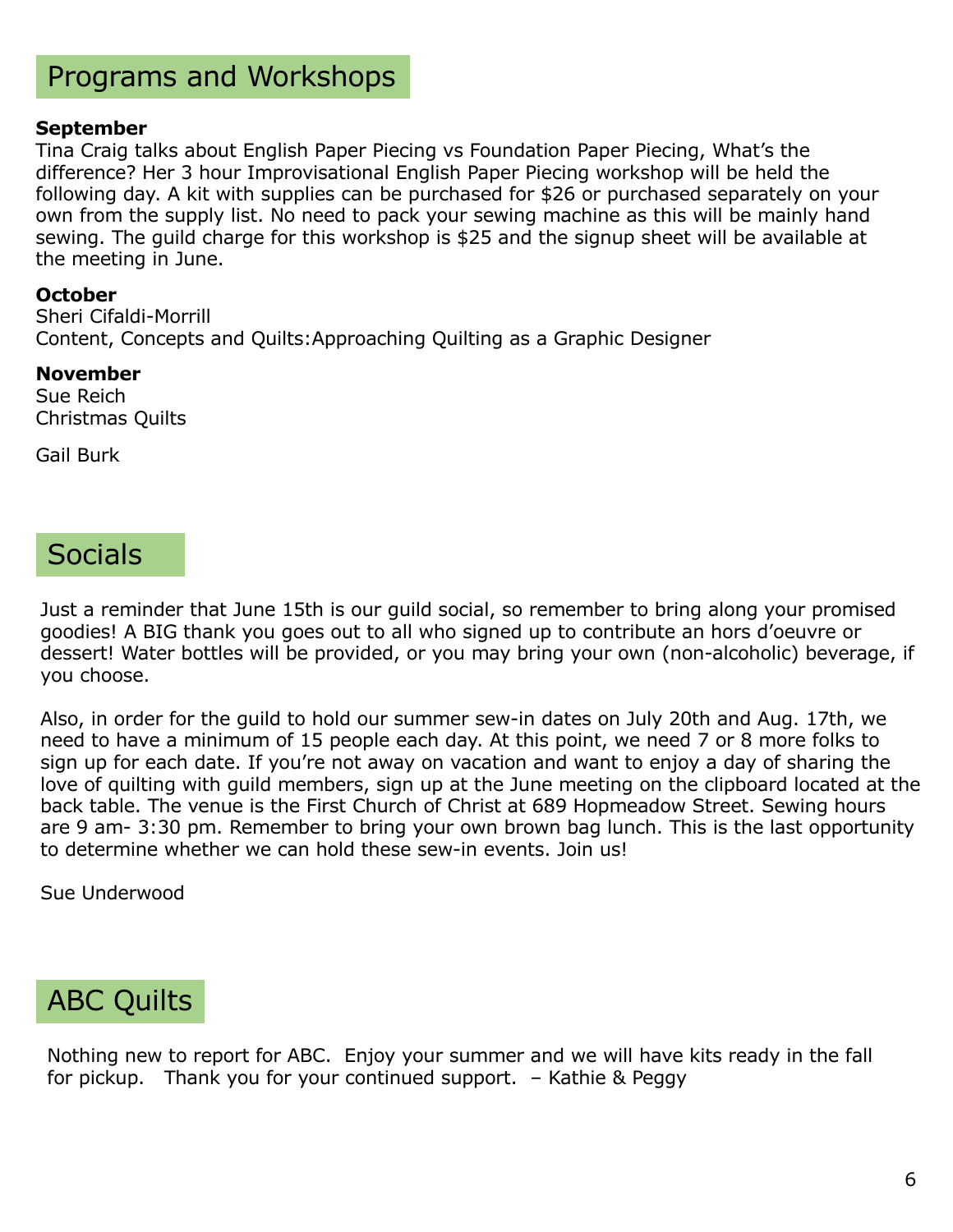# Programs and Workshops

#### **September**

Tina Craig talks about English Paper Piecing vs Foundation Paper Piecing, What's the difference? Her 3 hour Improvisational English Paper Piecing workshop will be held the following day. A kit with supplies can be purchased for \$26 or purchased separately on your own from the supply list. No need to pack your sewing machine as this will be mainly hand sewing. The guild charge for this workshop is \$25 and the signup sheet will be available at the meeting in June.

#### **October**

Sheri Cifaldi-Morrill Content, Concepts and Quilts:Approaching Quilting as a Graphic Designer

#### **November**

Sue Reich Christmas Quilts

Gail Burk

### **Socials**

Just a reminder that June 15th is our guild social, so remember to bring along your promised goodies! A BIG thank you goes out to all who signed up to contribute an hors d'oeuvre or dessert! Water bottles will be provided, or you may bring your own (non-alcoholic) beverage, if you choose.

Also, in order for the guild to hold our summer sew-in dates on July 20th and Aug. 17th, we need to have a minimum of 15 people each day. At this point, we need 7 or 8 more folks to sign up for each date. If you're not away on vacation and want to enjoy a day of sharing the love of quilting with guild members, sign up at the June meeting on the clipboard located at the back table. The venue is the First Church of Christ at 689 Hopmeadow Street. Sewing hours are 9 am- 3:30 pm. Remember to bring your own brown bag lunch. This is the last opportunity to determine whether we can hold these sew-in events. Join us!

Sue Underwood

# ABC Quilts

Nothing new to report for ABC. Enjoy your summer and we will have kits ready in the fall for pickup. Thank you for your continued support. – Kathie & Peggy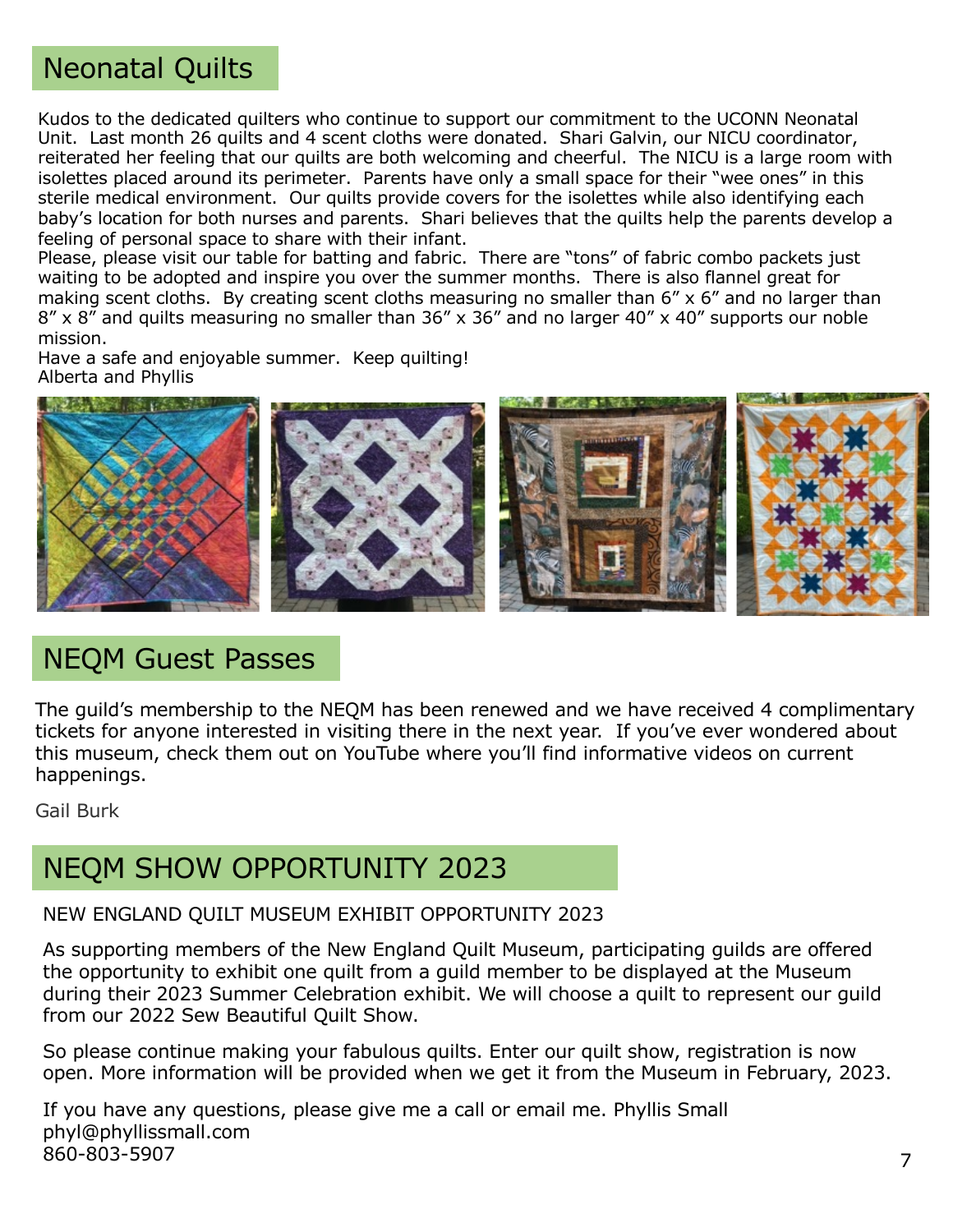### Neonatal Quilts

Kudos to the dedicated quilters who continue to support our commitment to the UCONN Neonatal Unit. Last month 26 quilts and 4 scent cloths were donated. Shari Galvin, our NICU coordinator, reiterated her feeling that our quilts are both welcoming and cheerful. The NICU is a large room with isolettes placed around its perimeter. Parents have only a small space for their "wee ones" in this sterile medical environment. Our quilts provide covers for the isolettes while also identifying each baby's location for both nurses and parents. Shari believes that the quilts help the parents develop a feeling of personal space to share with their infant.

Please, please visit our table for batting and fabric. There are "tons" of fabric combo packets just waiting to be adopted and inspire you over the summer months. There is also flannel great for making scent cloths. By creating scent cloths measuring no smaller than 6" x 6" and no larger than 8" x 8" and quilts measuring no smaller than 36" x 36" and no larger 40" x 40" supports our noble mission.

Have a safe and enjoyable summer. Keep quilting! Alberta and Phyllis



### NEQM Guest Passes

The guild's membership to the NEQM has been renewed and we have received 4 complimentary tickets for anyone interested in visiting there in the next year. If you've ever wondered about this museum, check them out on YouTube where you'll find informative videos on current happenings.

Gail Burk

### NEQM SHOW OPPORTUNITY 2023

#### NEW ENGLAND QUILT MUSEUM EXHIBIT OPPORTUNITY 2023

As supporting members of the New England Quilt Museum, participating guilds are offered the opportunity to exhibit one quilt from a guild member to be displayed at the Museum during their 2023 Summer Celebration exhibit. We will choose a quilt to represent our guild from our 2022 Sew Beautiful Quilt Show.

So please continue making your fabulous quilts. Enter our quilt show, registration is now open. More information will be provided when we get it from the Museum in February, 2023.

If you have any questions, please give me a call or email me. Phyllis Small phyl@phyllissmall.com 860-803-5907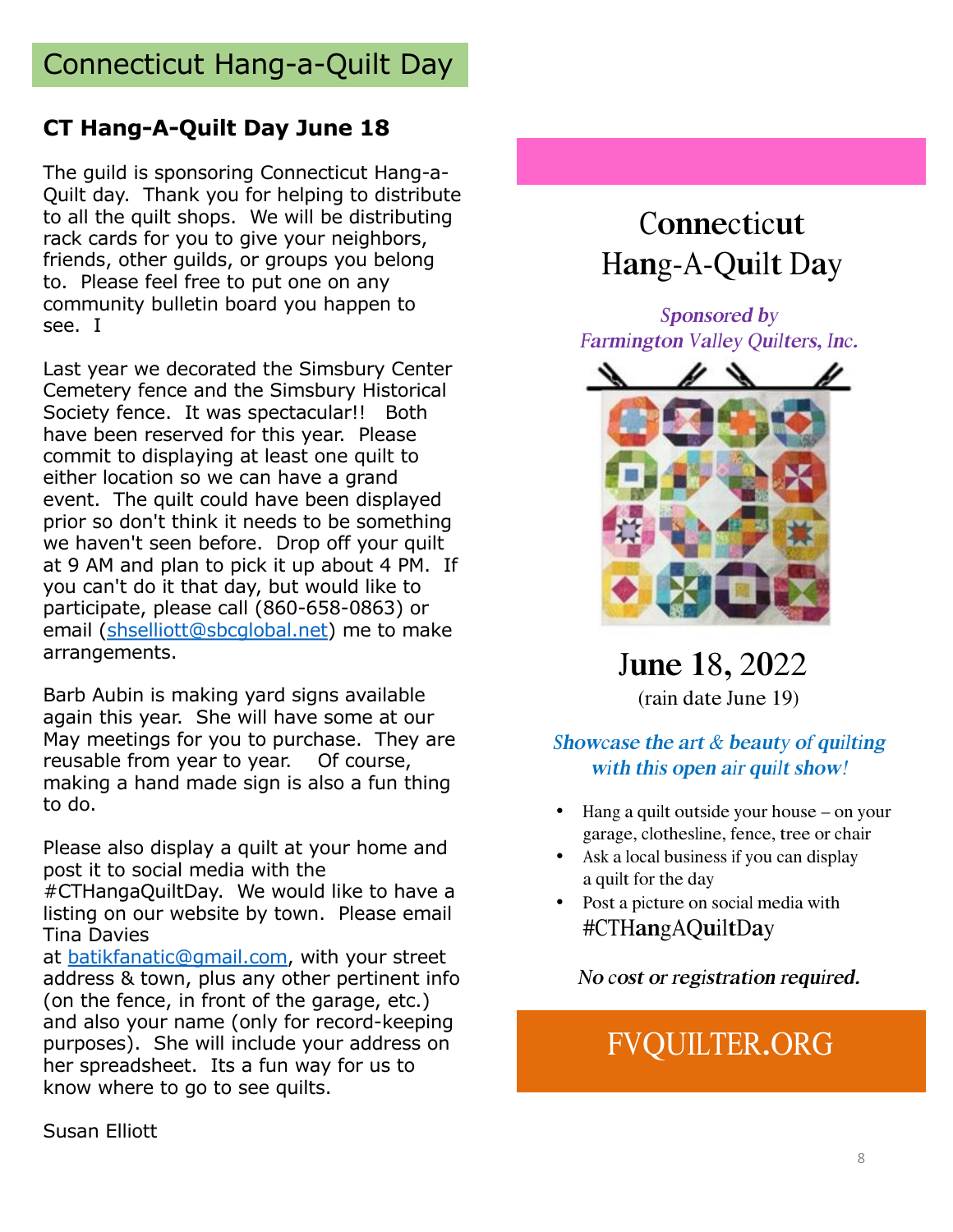# Connecticut Hang-a-Quilt Day

#### **CT Hang-A-Quilt Day June 18**

The guild is sponsoring Connecticut Hang-a-Quilt day. Thank you for helping to distribute to all the quilt shops. We will be distributing rack cards for you to give your neighbors, friends, other guilds, or groups you belong to. Please feel free to put one on any community bulletin board you happen to see. I

Last year we decorated the Simsbury Center Cemetery fence and the Simsbury Historical Society fence. It was spectacular!! Both have been reserved for this year. Please commit to displaying at least one quilt to either location so we can have a grand event. The quilt could have been displayed prior so don't think it needs to be something we haven't seen before. Drop off your quilt at 9 AM and plan to pick it up about 4 PM. If you can't do it that day, but would like to participate, please call (860-658-0863) or email [\(shselliott@sbcglobal.ne](mailto:shselliott@sbcglobal.net)t) me to make arrangements.

Barb Aubin is making yard signs available again this year. She will have some at our May meetings for you to purchase. They are reusable from year to year. Of course, making a hand made sign is also a fun thing to do.

Please also display a quilt at your home and post it to social media with the

#CTHangaQuiltDay. We would like to have a listing on our website by town. Please email Tina Davies

a[t batikfanatic@gmail.com](mailto:batikfanatic@gmail.com), with your street address & town, plus any other pertinent info (on the fence, in front of the garage, etc.) and also your name (only for record-keeping purposes). She will include your address on her spreadsheet. Its a fun way for us to know where to go to see quilts.

# **Connecticut** Hang-A-Quilt Day

Sponsor<sup>e</sup>d by Far<sup>m</sup>i<sup>n</sup>gto<sup>n</sup> Valley Quilters, Inc.



June 18, <sup>2</sup>0<sup>22</sup> (rain date June 19)

#### Showcase the art  $&$  beauty of quilting with this open air quilt show!

- Hang a quilt outsid<sup>e</sup> your hous<sup>e</sup> on your garage, clothesline, fence, tree or chair
- Ask a local business if you can display a quilt for the day
- Post a picture on social media with #CTHangAQuiltDay

#### N<sup>o</sup> <sup>c</sup>os<sup>t</sup> <sup>o</sup><sup>r</sup> <sup>r</sup>egistratio<sup>n</sup> <sup>r</sup>equir<sup>e</sup>d.

# FVQUILTER.ORG

Susan Elliott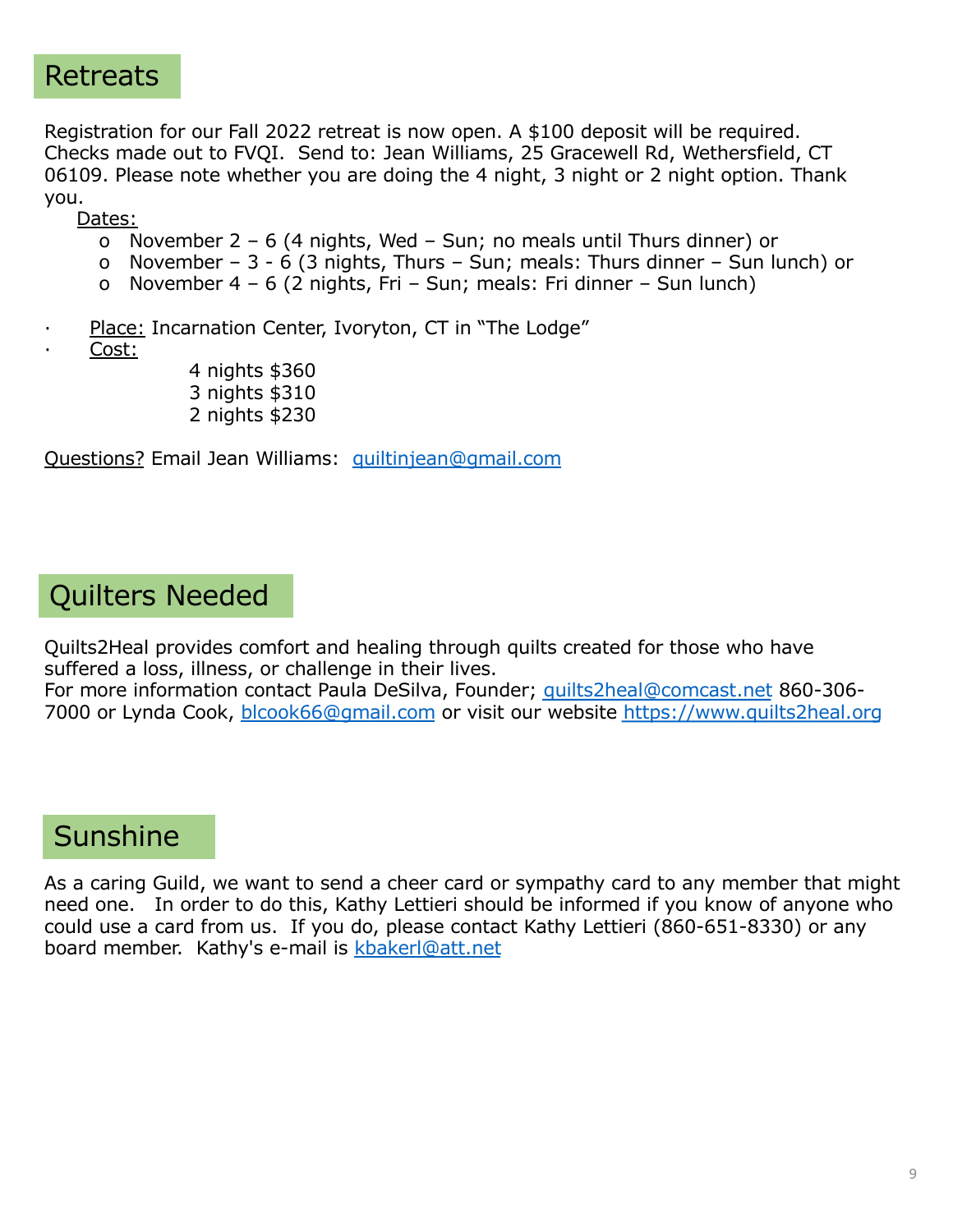#### Retreats

Registration for our Fall 2022 retreat is now open. A \$100 deposit will be required. Checks made out to FVQI. Send to: Jean Williams, 25 Gracewell Rd, Wethersfield, CT 06109. Please note whether you are doing the 4 night, 3 night or 2 night option. Thank you.

Dates:

- o November 2 6 (4 nights, Wed Sun; no meals until Thurs dinner) or
- o November 3 6 (3 nights, Thurs Sun; meals: Thurs dinner Sun lunch) or
- o November 4 6 (2 nights, Fri Sun; meals: Fri dinner Sun lunch)
- Place: Incarnation Center, Ivoryton, CT in "The Lodge"
- · Cost:
- 4 nights \$360 3 nights \$310 2 nights \$230

Questions? Email Jean Williams[: quiltinjean@gmail.com](mailto:quiltinjean@gmail.com)

#### Quilters Needed

Quilts2Heal provides comfort and healing through quilts created for those who have suffered a loss, illness, or challenge in their lives.

For more information contact Paula DeSilva, Founder; [quilts2heal@comcast.ne](mailto:quilts2heal@comcast.net)t 860-306-7000 or Lynda Cook, [blcook66@gmail.com](mailto:blcook66@gmail.com) or visit our website [https://www.quilts2heal.or](https://www.quilts2heal.org/)g

# **Sunshine**

As a caring Guild, we want to send a cheer card or sympathy card to any member that might need one. In order to do this, Kathy Lettieri should be informed if you know of anyone who could use a card from us. If you do, please contact Kathy Lettieri (860-651-8330) or any board member. Kathy's e-mail is [kbakerl@att.ne](mailto:kbakerl@att.net)t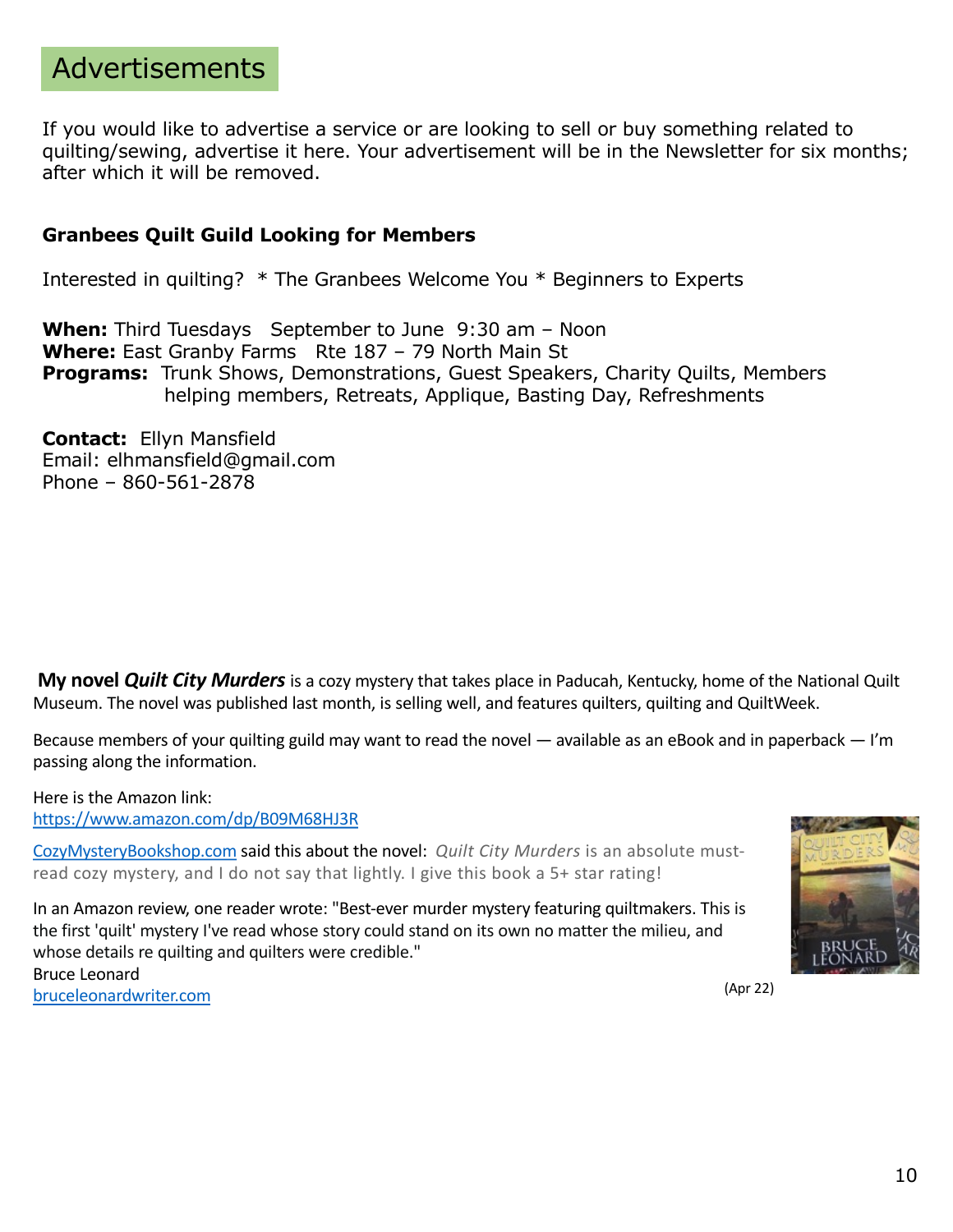#### Advertisements

If you would like to advertise a service or are looking to sell or buy something related to quilting/sewing, advertise it here. Your advertisement will be in the Newsletter for six months; after which it will be removed.

#### **Granbees Quilt Guild Looking for Members**

Interested in quilting? \* The Granbees Welcome You \* Beginners to Experts

**When:** Third Tuesdays September to June 9:30 am – Noon **Where:** East Granby Farms Rte 187 – 79 North Main St **Programs:** Trunk Shows, Demonstrations, Guest Speakers, Charity Quilts, Members helping members, Retreats, Applique, Basting Day, Refreshments

**Contact:** Ellyn Mansfield Email: elhmansfield@gmail.com Phone – 860-561-2878

**My novel** *Quilt City Murders* is a cozy mystery that takes place in Paducah, Kentucky, home of the National Quilt Museum. The novel was published last month, is selling well, and features quilters, quilting and QuiltWeek.

Because members of your quilting guild may want to read the novel — available as an eBook and in paperback — I'm passing along the information.

Here is the Amazon link: [https://www.amazon.com/dp/B09M68HJ3](https://www.amazon.com/dp/B09M68HJ3R)R

[CozyMysteryBookshop.com](http://cozymysterybookshop.com/) said this about the novel: *Quilt City Murders* is an absolute mustread cozy mystery, and I do not say that lightly. I give this book a 5+ star rating!

In an Amazon review, one reader wrote: "Best-ever murder mystery featuring quiltmakers. This is the first 'quilt' mystery I've read whose story could stand on its own no matter the milieu, and whose details re quilting and quilters were credible." Bruce Leonard [bruceleonardwriter.com](http://bruceleonardwriter.com/) (Apr 22)

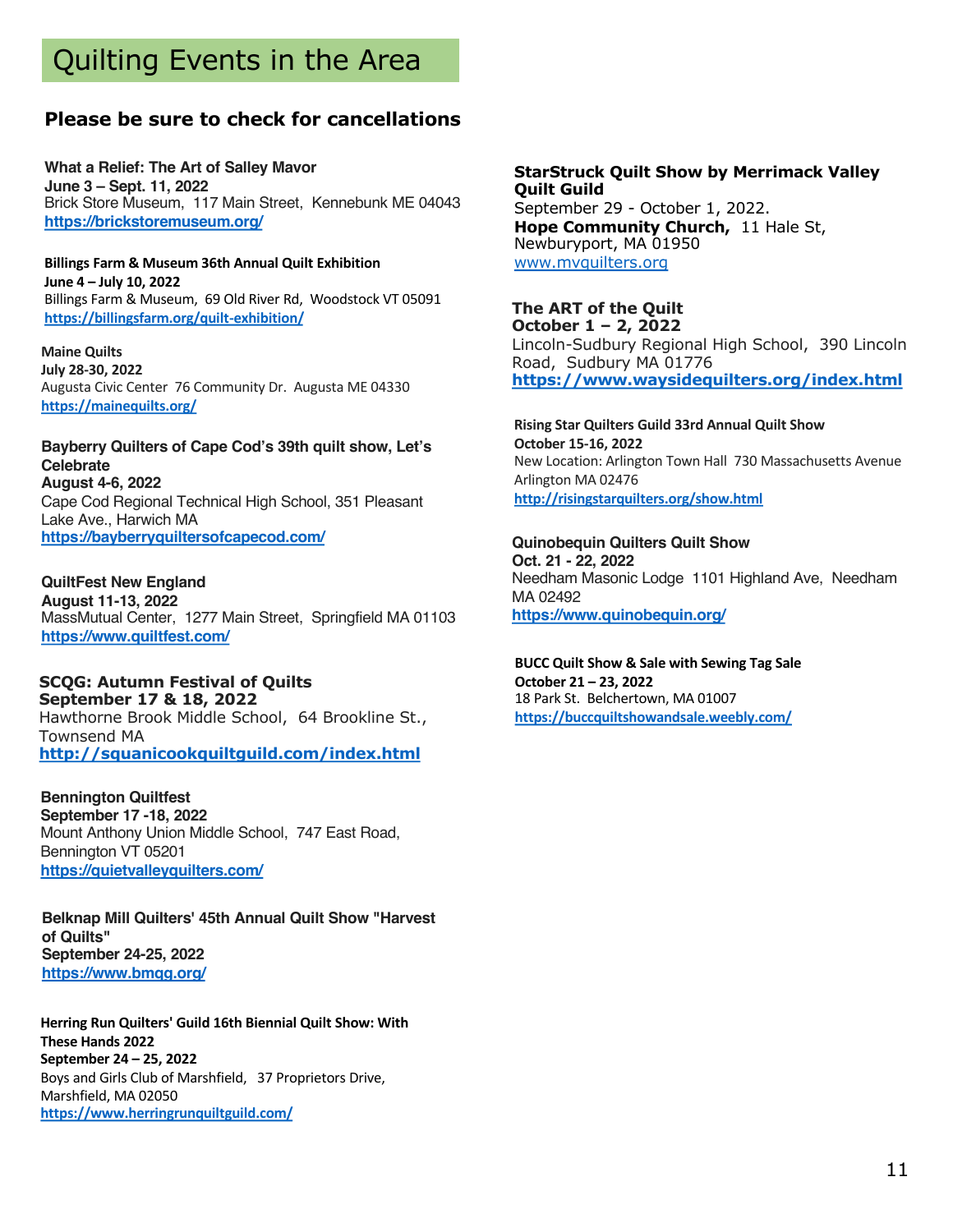### Quilting Events in the Area

#### **Please be sure to check for cancellations**

**What a Relief: The Art of Salley Mavor June 3 – Sept. 11, 2022** Brick Store Museum, 117 Main Street, Kennebunk ME 04043 **[https://brickstoremuseum.org](https://sewmanyshows.us19.list-manage.com/track/click?u=45e35880b67872826e6bfbfc2&id=afad016ee0&e=781fb09e8a)/**

**Billings Farm & Museum 36th Annual Quilt Exhibition June 4 – July 10, 2022** Billings Farm & Museum, 69 Old River Rd, Woodstock VT 05091 **[https://billingsfarm.org/quilt-exhibition](https://sewmanyshows.us19.list-manage.com/track/click?u=45e35880b67872826e6bfbfc2&id=c717b2e82a&e=781fb09e8a)/**

**Maine Quilts July 28-30, 2022** Augusta Civic Center 76 Community Dr. Augusta ME 04330 **[https://mainequilts.org](https://sewmanyshows.us19.list-manage.com/track/click?u=45e35880b67872826e6bfbfc2&id=f500efb542&e=781fb09e8a)/**

**Bayberry Quilters of Cape Cod's 39th quilt show, Let's Celebrate August 4-6, 2022** Cape Cod Regional Technical High School, 351 Pleasant Lake Ave., Harwich MA **[https://bayberryquiltersofcapecod.com](https://sewmanyshows.us19.list-manage.com/track/click?u=45e35880b67872826e6bfbfc2&id=41f71a3d51&e=781fb09e8a)/**

**QuiltFest New England August 11-13, 2022** MassMutual Center, 1277 Main Street, Springfield MA 01103 **[https://www.quiltfest.com](https://sewmanyshows.us19.list-manage.com/track/click?u=45e35880b67872826e6bfbfc2&id=0b8c81379c&e=781fb09e8a)/**

#### **SCQG: Autumn Festival of Quilts September 17 & 18, 2022**

Hawthorne Brook Middle School, 64 Brookline St., Townsend MA **[http://squanicookquiltguild.com/index.htm](https://sewmanyshows.us19.list-manage.com/track/click?u=45e35880b67872826e6bfbfc2&id=c712f517af&e=781fb09e8a)l**

**Bennington Quiltfest September 17 -18, 2022** Mount Anthony Union Middle School, 747 East Road, Bennington VT 05201 **[https://quietvalleyquilters.com](https://sewmanyshows.us19.list-manage.com/track/click?u=45e35880b67872826e6bfbfc2&id=f701113e2b&e=781fb09e8a)/**

**Belknap Mill Quilters' 45th Annual Quilt Show "Harvest of Quilts" September 24-25, 2022 [https://www.bmqg.org](https://sewmanyshows.us19.list-manage.com/track/click?u=45e35880b67872826e6bfbfc2&id=bffac41411&e=781fb09e8a)/**

**Herring Run Quilters' Guild 16th Biennial Quilt Show: With These Hands 2022 September 24 – 25, 2022** Boys and Girls Club of Marshfield, 37 Proprietors Drive, Marshfield, MA 02050 **[https://www.herringrunquiltguild.com](https://sewmanyshows.us19.list-manage.com/track/click?u=45e35880b67872826e6bfbfc2&id=3916d03c8a&e=781fb09e8a)/**

**StarStruck Quilt Show by Merrimack Valley Quilt Guild** September 29 - October 1, 2022. **Hope Community Church,** 11 Hale St, Newburyport, MA 01950 [www.mvquilters.or](http://www.mvquilters.org/)g

**The ART of the Quilt October 1 – 2, 2022** Lincoln-Sudbury Regional High School, 390 Lincoln Road, Sudbury MA 01776 **[https://www.waysidequilters.org/index.htm](https://sewmanyshows.us19.list-manage.com/track/click?u=45e35880b67872826e6bfbfc2&id=b5c25a2316&e=781fb09e8a)l**

**Rising Star Quilters Guild 33rd Annual Quilt Show October 15-16, 2022**  New Location: Arlington Town Hall 730 Massachusetts Avenue Arlington MA 02476 **[http://risingstarquilters.org/show.htm](https://sewmanyshows.us19.list-manage.com/track/click?u=45e35880b67872826e6bfbfc2&id=ebc5e175cc&e=781fb09e8a)l**

**Quinobequin Quilters Quilt Show Oct. 21 - 22, 2022** Needham Masonic Lodge 1101 Highland Ave, Needham MA 02492 **[https://www.quinobequin.org](https://sewmanyshows.us19.list-manage.com/track/click?u=45e35880b67872826e6bfbfc2&id=1e54d73172&e=781fb09e8a)/**

**BUCC Quilt Show & Sale with Sewing Tag Sale October 21 – 23, 2022** 18 Park St. Belchertown, MA 01007 **[https://buccquiltshowandsale.weebly.com](https://sewmanyshows.us19.list-manage.com/track/click?u=45e35880b67872826e6bfbfc2&id=aa0a2948d8&e=781fb09e8a)/**